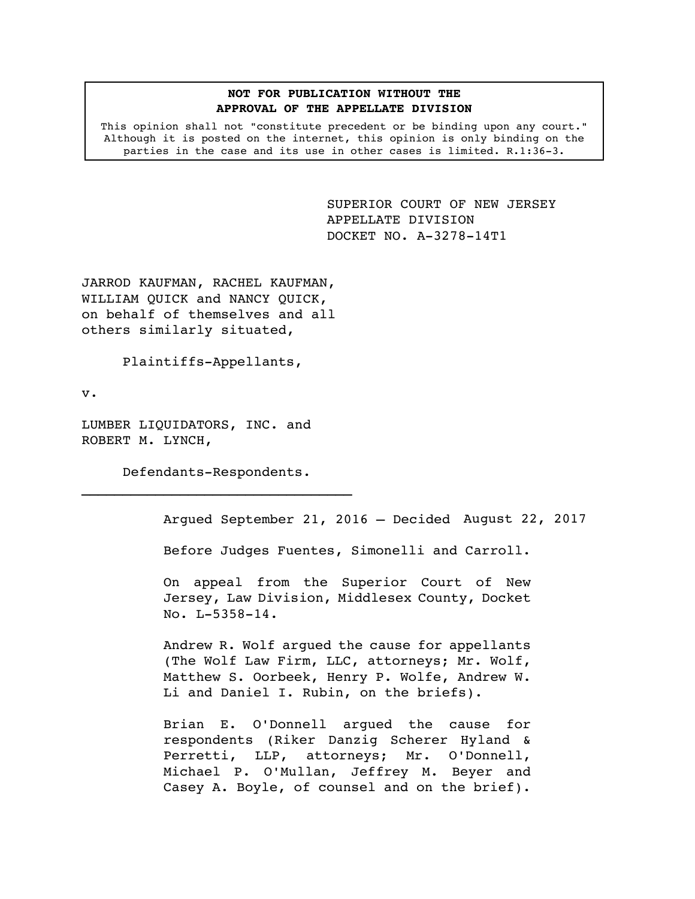## **NOT FOR PUBLICATION WITHOUT THE APPROVAL OF THE APPELLATE DIVISION**

This opinion shall not "constitute precedent or be binding upon any court." Although it is posted on the internet, this opinion is only binding on the parties in the case and its use in other cases is limited. R.1:36-3.

> <span id="page-0-0"></span>SUPERIOR COURT OF NEW JERSEY APPELLATE DIVISION DOCKET NO. A-3278-14T1

JARROD KAUFMAN, RACHEL KAUFMAN, WILLIAM QUICK and NANCY QUICK, on behalf of themselves and all others similarly situated,

Plaintiffs-Appellants,

v.

LUMBER LIQUIDATORS, INC. and ROBERT M. LYNCH,

Defendants-Respondents.

Argued September 21, 2016 – Decided August 22, 2017

Before Judges Fuentes, Simonelli and Carroll.

On appeal from the Superior Court of New Jersey, Law Division, Middlesex County, Docket No. L-5358-14.

Andrew R. Wolf argued the cause for appellants (The Wolf Law Firm, LLC, attorneys; Mr. Wolf, Matthew S. Oorbeek, Henry P. Wolfe, Andrew W. Li and Daniel I. Rubin, on the briefs).

Brian E. O'Donnell argued the cause for respondents (Riker Danzig Scherer Hyland & Perretti, LLP, attorneys; Mr. O'Donnell, Michael P. O'Mullan, Jeffrey M. Beyer and Casey A. Boyle, of counsel and on the brief).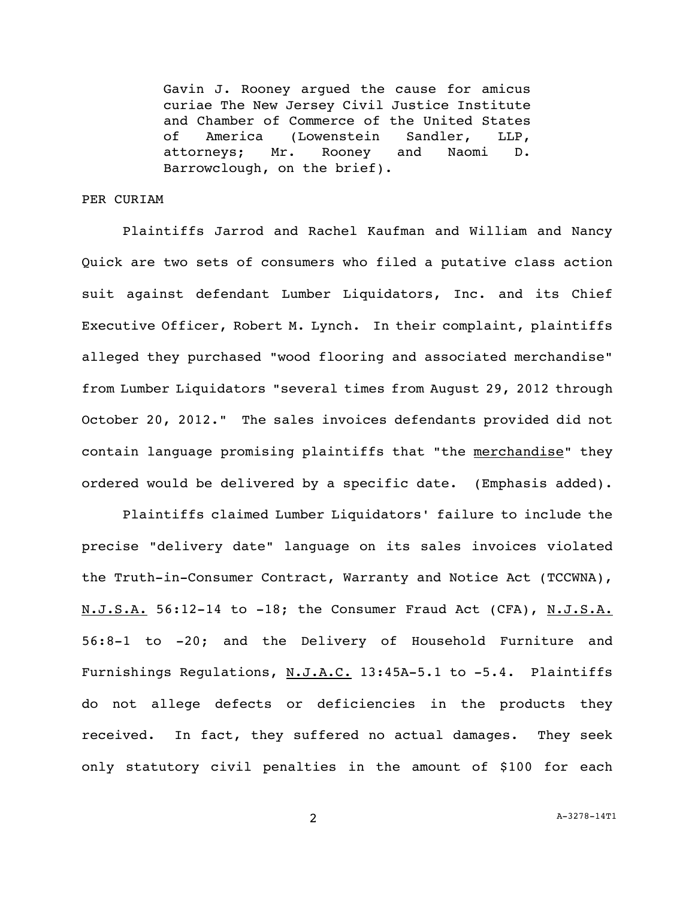Gavin J. Rooney argued the cause for amicus curiae The New Jersey Civil Justice Institute and Chamber of Commerce of the United States of America (Lowenstein Sandler, LLP, attorneys; Mr. Rooney and Naomi D. Barrowclough, on the brief).

## PER CURIAM

Plaintiffs Jarrod and Rachel Kaufman and William and Nancy Quick are two sets of consumers who filed a putative class action suit against defendant Lumber Liquidators, Inc. and its Chief Executive Officer, Robert M. Lynch. In their complaint, plaintiffs alleged they purchased "wood flooring and associated merchandise" from Lumber Liquidators "several times from August 29, 2012 through October 20, 2012." The sales invoices defendants provided did not contain language promising plaintiffs that "the merchandise" they ordered would be delivered by a specific date. (Emphasis added).

Plaintiffs claimed Lumber Liquidators' failure to include the precise "delivery date" language on its sales invoices violated the Truth-in-Consumer Contract, Warranty and Notice Act (TCCWNA), N.J.S.A. 56:12-14 to -18; the Consumer Fraud Act (CFA), N.J.S.A. 56:8-1 to -20; and the Delivery of Household Furniture and Furnishings Regulations, N.J.A.C. 13:45A-5.1 to -5.4. Plaintiffs do not allege defects or deficiencies in the products they received. In fact, they suffered no actual damages. They seek only statutory civil penalties in the amount of \$100 for each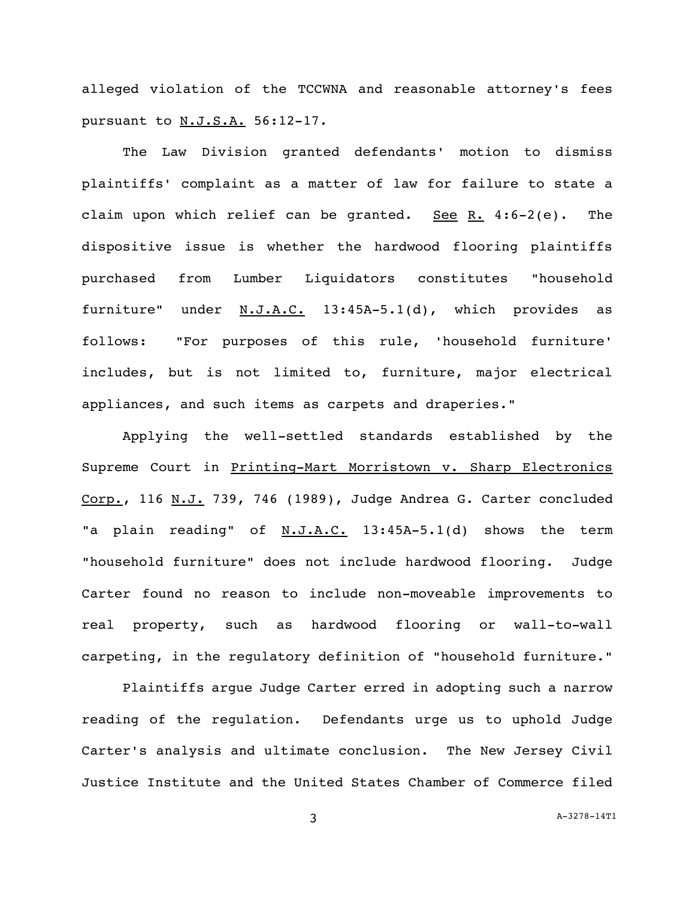alleged violation of the TCCWNA and reasonable attorney's fees pursuant to N.J.S.A. 56:12-17.

The Law Division granted defendants' motion to dismiss plaintiffs' complaint as a matter of law for failure to state a claim upon which relief can be granted. See R. 4:6-2(e). The dispositive issue is whether the hardwood flooring plaintiffs purchased from Lumber Liquidators constitutes "household furniture" under N.J.A.C. 13:45A-5.1(d), which provides as follows: "For purposes of this rule, 'household furniture' includes, but is not limited to, furniture, major electrical appliances, and such items as carpets and draperies."

Applying the well-settled standards established by the Supreme Court in Printing-Mart Morristown v. Sharp Electronics Corp., 116 N.J. 739, 746 (1989), Judge Andrea G. Carter concluded "a plain reading" of N.J.A.C. 13:45A-5.1(d) shows the term "household furniture" does not include hardwood flooring. Judge Carter found no reason to include non-moveable improvements to real property, such as hardwood flooring or wall-to-wall carpeting, in the regulatory definition of "household furniture."

Plaintiffs argue Judge Carter erred in adopting such a narrow reading of the regulation. Defendants urge us to uphold Judge Carter's analysis and ultimate conclusion. The New Jersey Civil Justice Institute and the United States Chamber of Commerce filed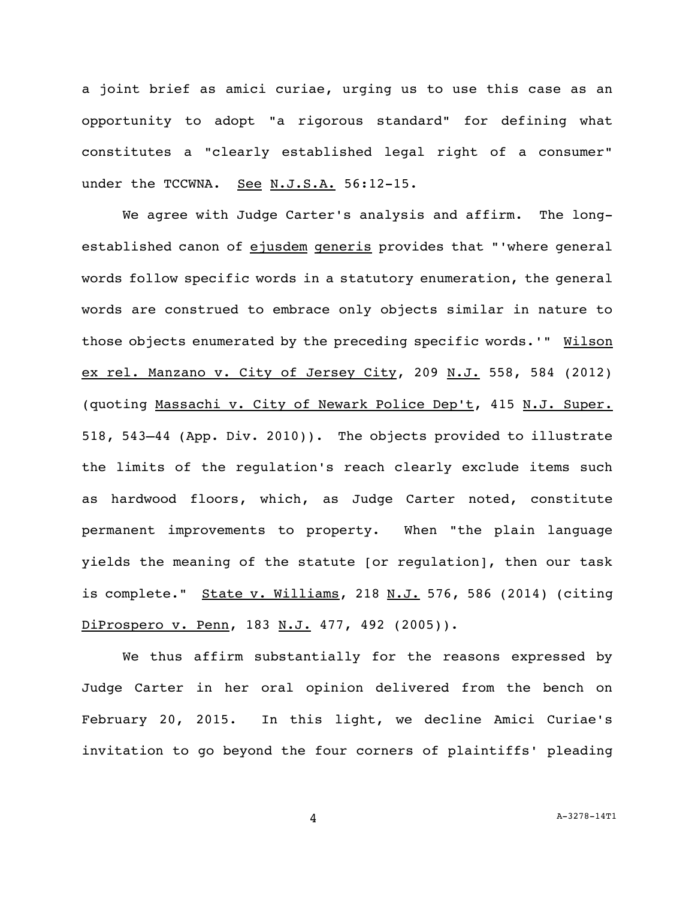a joint brief as amici curiae, urging us to use this case as an opportunity to adopt "a rigorous standard" for defining what constitutes a "clearly established legal right of a consumer" under the TCCWNA. See N.J.S.A. 56:12-15.

We agree with Judge Carter's analysis and affirm. The longestablished canon of ejusdem generis provides that "'where general words follow specific words in a statutory enumeration, the general words are construed to embrace only objects similar in nature to those objects enumerated by the preceding specific words.'" Wilson ex rel. Manzano v. City of Jersey City, 209 N.J. 558, 584 (2012) (quoting Massachi v. City of Newark Police Dep't, 415 N.J. Super. 518, 543–44 (App. Div. 2010)). The objects provided to illustrate the limits of the regulation's reach clearly exclude items such as hardwood floors, which, as Judge Carter noted, constitute permanent improvements to property. When "the plain language yields the meaning of the statute [or regulation], then our task is complete." State v. Williams, 218 N.J. 576, 586 (2014) (citing DiProspero v. Penn, 183 N.J. 477, 492 (2005)).

We thus affirm substantially for the reasons expressed by Judge Carter in her oral opinion delivered from the bench on February 20, 2015. In this light, we decline Amici Curiae's invitation to go beyond the four corners of plaintiffs' pleading